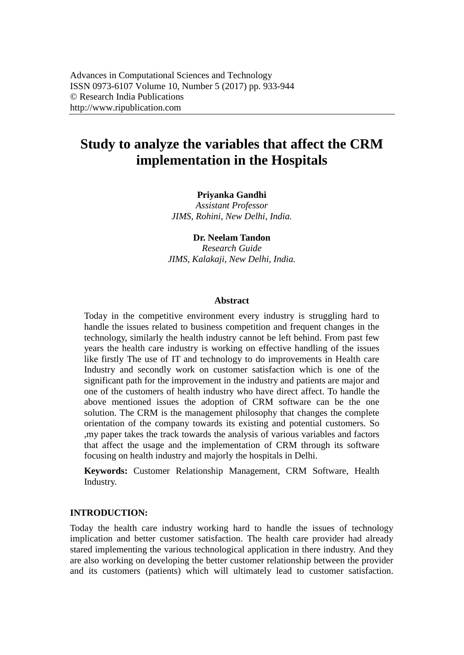# **Study to analyze the variables that affect the CRM implementation in the Hospitals**

**Priyanka Gandhi**

*Assistant Professor JIMS, Rohini, New Delhi, India.*

**Dr. Neelam Tandon**

*Research Guide JIMS, Kalakaji, New Delhi, India.*

#### **Abstract**

Today in the competitive environment every industry is struggling hard to handle the issues related to business competition and frequent changes in the technology, similarly the health industry cannot be left behind. From past few years the health care industry is working on effective handling of the issues like firstly The use of IT and technology to do improvements in Health care Industry and secondly work on customer satisfaction which is one of the significant path for the improvement in the industry and patients are major and one of the customers of health industry who have direct affect. To handle the above mentioned issues the adoption of CRM software can be the one solution. The CRM is the management philosophy that changes the complete orientation of the company towards its existing and potential customers. So ,my paper takes the track towards the analysis of various variables and factors that affect the usage and the implementation of CRM through its software focusing on health industry and majorly the hospitals in Delhi.

**Keywords:** Customer Relationship Management, CRM Software, Health Industry.

#### **INTRODUCTION:**

Today the health care industry working hard to handle the issues of technology implication and better customer satisfaction. The health care provider had already stared implementing the various technological application in there industry. And they are also working on developing the better customer relationship between the provider and its customers (patients) which will ultimately lead to customer satisfaction.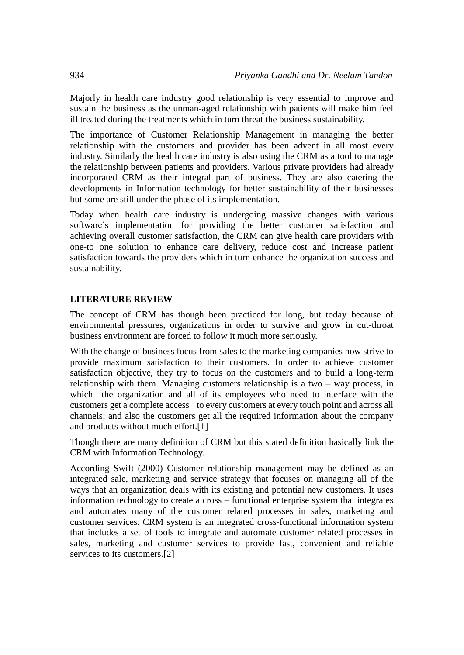Majorly in health care industry good relationship is very essential to improve and sustain the business as the unman-aged relationship with patients will make him feel ill treated during the treatments which in turn threat the business sustainability.

The importance of Customer Relationship Management in managing the better relationship with the customers and provider has been advent in all most every industry. Similarly the health care industry is also using the CRM as a tool to manage the relationship between patients and providers. Various private providers had already incorporated CRM as their integral part of business. They are also catering the developments in Information technology for better sustainability of their businesses but some are still under the phase of its implementation.

Today when health care industry is undergoing massive changes with various software's implementation for providing the better customer satisfaction and achieving overall customer satisfaction, the CRM can give health care providers with one-to one solution to enhance care delivery, reduce cost and increase patient satisfaction towards the providers which in turn enhance the organization success and sustainability.

#### **LITERATURE REVIEW**

The concept of CRM has though been practiced for long, but today because of environmental pressures, organizations in order to survive and grow in cut-throat business environment are forced to follow it much more seriously.

With the change of business focus from sales to the marketing companies now strive to provide maximum satisfaction to their customers. In order to achieve customer satisfaction objective, they try to focus on the customers and to build a long-term relationship with them. Managing customers relationship is a two – way process, in which the organization and all of its employees who need to interface with the customers get a complete access to every customers at every touch point and across all channels; and also the customers get all the required information about the company and products without much effort.[1]

Though there are many definition of CRM but this stated definition basically link the CRM with Information Technology.

According Swift (2000) Customer relationship management may be defined as an integrated sale, marketing and service strategy that focuses on managing all of the ways that an organization deals with its existing and potential new customers. It uses information technology to create a cross – functional enterprise system that integrates and automates many of the customer related processes in sales, marketing and customer services. CRM system is an integrated cross-functional information system that includes a set of tools to integrate and automate customer related processes in sales, marketing and customer services to provide fast, convenient and reliable services to its customers.<sup>[2]</sup>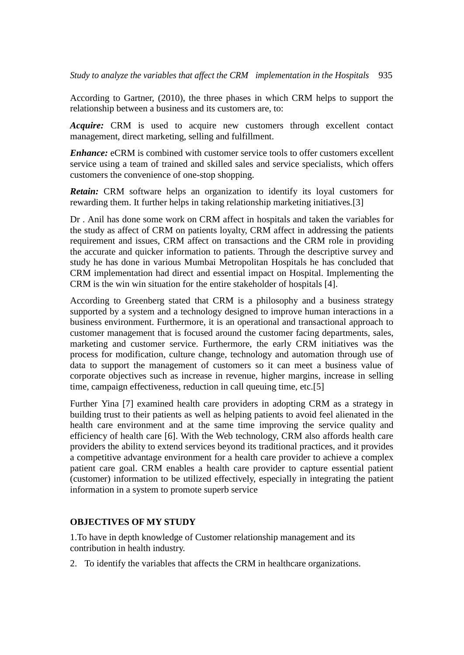According to Gartner, (2010), the three phases in which CRM helps to support the relationship between a business and its customers are, to:

*Acquire:* CRM is used to acquire new customers through excellent contact management, direct marketing, selling and fulfillment.

*Enhance:* eCRM is combined with customer service tools to offer customers excellent service using a team of trained and skilled sales and service specialists, which offers customers the convenience of one-stop shopping.

*Retain:* CRM software helps an organization to identify its loyal customers for rewarding them. It further helps in taking relationship marketing initiatives.[3]

Dr . Anil has done some work on CRM affect in hospitals and taken the variables for the study as affect of CRM on patients loyalty, CRM affect in addressing the patients requirement and issues, CRM affect on transactions and the CRM role in providing the accurate and quicker information to patients. Through the descriptive survey and study he has done in various Mumbai Metropolitan Hospitals he has concluded that CRM implementation had direct and essential impact on Hospital. Implementing the CRM is the win win situation for the entire stakeholder of hospitals [4].

According to Greenberg stated that CRM is a philosophy and a business strategy supported by a system and a technology designed to improve human interactions in a business environment. Furthermore, it is an operational and transactional approach to customer management that is focused around the customer facing departments, sales, marketing and customer service. Furthermore, the early CRM initiatives was the process for modification, culture change, technology and automation through use of data to support the management of customers so it can meet a business value of corporate objectives such as increase in revenue, higher margins, increase in selling time, campaign effectiveness, reduction in call queuing time, etc.[5]

Further Yina [7] examined health care providers in adopting CRM as a strategy in building trust to their patients as well as helping patients to avoid feel alienated in the health care environment and at the same time improving the service quality and efficiency of health care [6]. With the Web technology, CRM also affords health care providers the ability to extend services beyond its traditional practices, and it provides a competitive advantage environment for a health care provider to achieve a complex patient care goal. CRM enables a health care provider to capture essential patient (customer) information to be utilized effectively, especially in integrating the patient information in a system to promote superb service

#### **OBJECTIVES OF MY STUDY**

1.To have in depth knowledge of Customer relationship management and its contribution in health industry.

2. To identify the variables that affects the CRM in healthcare organizations.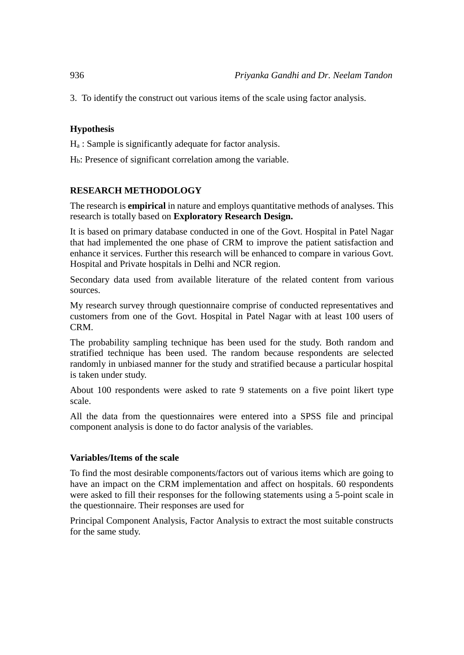3. To identify the construct out various items of the scale using factor analysis.

### **Hypothesis**

 $H<sub>a</sub>$ : Sample is significantly adequate for factor analysis.

Hb: Presence of significant correlation among the variable.

## **RESEARCH METHODOLOGY**

The research is **empirical** in nature and employs quantitative methods of analyses. This research is totally based on **Exploratory Research Design.**

It is based on primary database conducted in one of the Govt. Hospital in Patel Nagar that had implemented the one phase of CRM to improve the patient satisfaction and enhance it services. Further this research will be enhanced to compare in various Govt. Hospital and Private hospitals in Delhi and NCR region.

Secondary data used from available literature of the related content from various sources.

My research survey through questionnaire comprise of conducted representatives and customers from one of the Govt. Hospital in Patel Nagar with at least 100 users of CRM.

The probability sampling technique has been used for the study. Both random and stratified technique has been used. The random because respondents are selected randomly in unbiased manner for the study and stratified because a particular hospital is taken under study.

About 100 respondents were asked to rate 9 statements on a five point likert type scale.

All the data from the questionnaires were entered into a SPSS file and principal component analysis is done to do factor analysis of the variables.

#### **Variables/Items of the scale**

To find the most desirable components/factors out of various items which are going to have an impact on the CRM implementation and affect on hospitals. 60 respondents were asked to fill their responses for the following statements using a 5-point scale in the questionnaire. Their responses are used for

Principal Component Analysis, Factor Analysis to extract the most suitable constructs for the same study.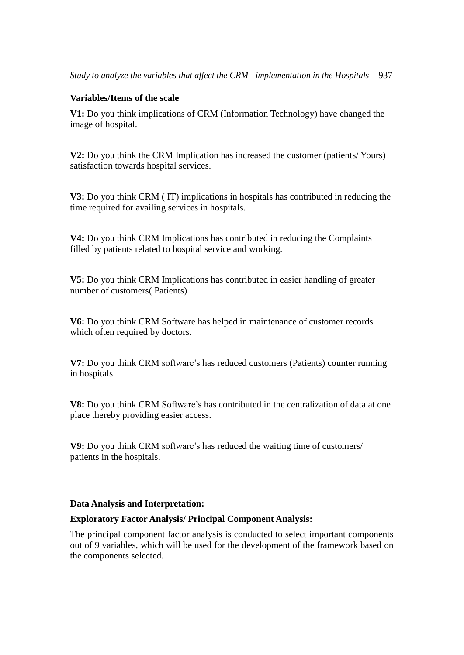#### **Variables/Items of the scale**

**V1:** Do you think implications of CRM (Information Technology) have changed the image of hospital.

**V2:** Do you think the CRM Implication has increased the customer (patients/ Yours) satisfaction towards hospital services.

**V3:** Do you think CRM ( IT) implications in hospitals has contributed in reducing the time required for availing services in hospitals.

**V4:** Do you think CRM Implications has contributed in reducing the Complaints filled by patients related to hospital service and working.

**V5:** Do you think CRM Implications has contributed in easier handling of greater number of customers( Patients)

**V6:** Do you think CRM Software has helped in maintenance of customer records which often required by doctors.

**V7:** Do you think CRM software's has reduced customers (Patients) counter running in hospitals.

**V8:** Do you think CRM Software's has contributed in the centralization of data at one place thereby providing easier access.

**V9:** Do you think CRM software's has reduced the waiting time of customers/ patients in the hospitals.

#### **Data Analysis and Interpretation:**

#### **Exploratory Factor Analysis/ Principal Component Analysis:**

The principal component factor analysis is conducted to select important components out of 9 variables, which will be used for the development of the framework based on the components selected.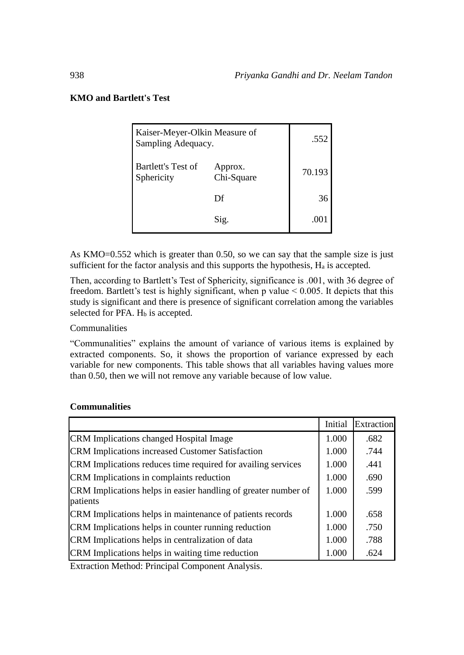### **KMO and Bartlett's Test**

| Kaiser-Meyer-Olkin Measure of<br>Sampling Adequacy. |                       | .552   |
|-----------------------------------------------------|-----------------------|--------|
| Bartlett's Test of<br>Sphericity                    | Approx.<br>Chi-Square | 70.193 |
|                                                     | Df                    | 36     |
|                                                     | Sig.                  | .00    |

As KMO=0.552 which is greater than 0.50, so we can say that the sample size is just sufficient for the factor analysis and this supports the hypothesis,  $H_a$  is accepted.

Then, according to Bartlett's Test of Sphericity, significance is .001, with 36 degree of freedom. Bartlett's test is highly significant, when p value  $< 0.005$ . It depicts that this study is significant and there is presence of significant correlation among the variables selected for PFA.  $H_b$  is accepted.

Communalities

"Communalities" explains the amount of variance of various items is explained by extracted components. So, it shows the proportion of variance expressed by each variable for new components. This table shows that all variables having values more than 0.50, then we will not remove any variable because of low value.

|                                                                            | Initial | Extraction |
|----------------------------------------------------------------------------|---------|------------|
| <b>CRM</b> Implications changed Hospital Image                             | 1.000   | .682       |
| <b>CRM</b> Implications increased Customer Satisfaction                    | 1.000   | .744       |
| CRM Implications reduces time required for availing services               | 1.000   | .441       |
| CRM Implications in complaints reduction                                   | 1.000   | .690       |
| CRM Implications helps in easier handling of greater number of<br>patients |         | .599       |
| CRM Implications helps in maintenance of patients records                  | 1.000   | .658       |
| CRM Implications helps in counter running reduction                        | 1.000   | .750       |
| CRM Implications helps in centralization of data                           | 1.000   | .788       |
| CRM Implications helps in waiting time reduction                           | 1.000   | .624       |

### **Communalities**

Extraction Method: Principal Component Analysis.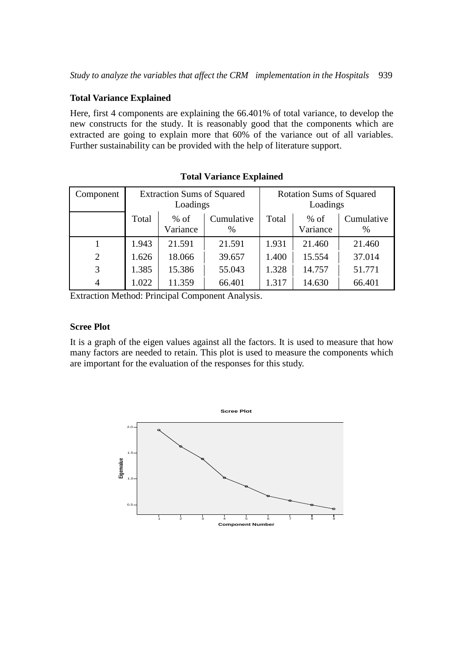#### **Total Variance Explained**

Here, first 4 components are explaining the 66.401% of total variance, to develop the new constructs for the study. It is reasonably good that the components which are extracted are going to explain more that 60% of the variance out of all variables. Further sustainability can be provided with the help of literature support.

| Component      | <b>Extraction Sums of Squared</b><br>Loadings |                    |                    | <b>Rotation Sums of Squared</b><br>Loadings |                    |                    |
|----------------|-----------------------------------------------|--------------------|--------------------|---------------------------------------------|--------------------|--------------------|
|                | Total                                         | $%$ of<br>Variance | Cumulative<br>$\%$ | Total                                       | $%$ of<br>Variance | Cumulative<br>$\%$ |
|                | 1.943                                         | 21.591             | 21.591             | 1.931                                       | 21.460             | 21.460             |
| $\overline{2}$ | 1.626                                         | 18.066             | 39.657             | 1.400                                       | 15.554             | 37.014             |
| 3              | 1.385                                         | 15.386             | 55.043             | 1.328                                       | 14.757             | 51.771             |
| 4              | 1.022                                         | 11.359             | 66.401             | 1.317                                       | 14.630             | 66.401             |

**Total Variance Explained**

Extraction Method: Principal Component Analysis.

#### **Scree Plot**

It is a graph of the eigen values against all the factors. It is used to measure that how many factors are needed to retain. This plot is used to measure the components which are important for the evaluation of the responses for this study.

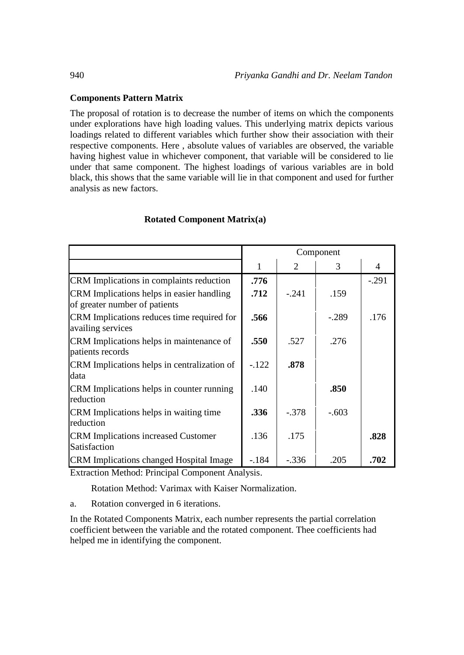#### **Components Pattern Matrix**

The proposal of rotation is to decrease the number of items on which the components under explorations have high loading values. This underlying matrix depicts various loadings related to different variables which further show their association with their respective components. Here , absolute values of variables are observed, the variable having highest value in whichever component, that variable will be considered to lie under that same component. The highest loadings of various variables are in bold black, this shows that the same variable will lie in that component and used for further analysis as new factors.

|                                                                                                                           | Component |         |         |         |
|---------------------------------------------------------------------------------------------------------------------------|-----------|---------|---------|---------|
|                                                                                                                           | 1         | 2       | 3       | 4       |
| CRM Implications in complaints reduction                                                                                  | .776      |         |         | $-.291$ |
| CRM Implications helps in easier handling<br>of greater number of patients                                                | .712      | $-.241$ | .159    |         |
| CRM Implications reduces time required for<br>availing services                                                           | .566      |         | $-.289$ | .176    |
| CRM Implications helps in maintenance of<br>patients records                                                              | .550      | .527    | .276    |         |
| CRM Implications helps in centralization of<br>data                                                                       | $-122$    | .878    |         |         |
| CRM Implications helps in counter running<br>reduction                                                                    | .140      |         | .850    |         |
| CRM Implications helps in waiting time<br>reduction                                                                       | .336      | $-.378$ | $-.603$ |         |
| <b>CRM</b> Implications increased Customer<br>Satisfaction                                                                | .136      | .175    |         | .828    |
| CRM Implications changed Hospital Image<br>$\mathbf{r}$ as $\mathbf{r}$ and $\mathbf{r}$ and $\mathbf{r}$<br>$\mathbf{r}$ | $-184$    | $-.336$ | .205    | .702    |

#### **Rotated Component Matrix(a)**

Extraction Method: Principal Component Analysis.

Rotation Method: Varimax with Kaiser Normalization.

a. Rotation converged in 6 iterations.

In the Rotated Components Matrix, each number represents the partial correlation coefficient between the variable and the rotated component. Thee coefficients had helped me in identifying the component.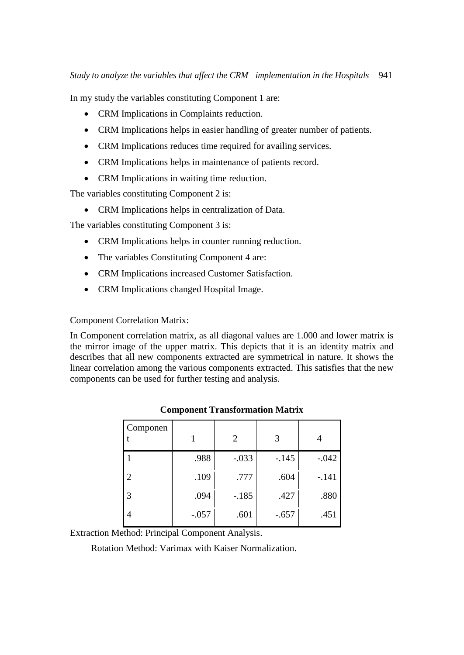In my study the variables constituting Component 1 are:

- CRM Implications in Complaints reduction.
- CRM Implications helps in easier handling of greater number of patients.
- CRM Implications reduces time required for availing services.
- CRM Implications helps in maintenance of patients record.
- CRM Implications in waiting time reduction.

The variables constituting Component 2 is:

• CRM Implications helps in centralization of Data.

The variables constituting Component 3 is:

- CRM Implications helps in counter running reduction.
- The variables Constituting Component 4 are:
- CRM Implications increased Customer Satisfaction.
- CRM Implications changed Hospital Image.

#### Component Correlation Matrix:

In Component correlation matrix, as all diagonal values are 1.000 and lower matrix is the mirror image of the upper matrix. This depicts that it is an identity matrix and describes that all new components extracted are symmetrical in nature. It shows the linear correlation among the various components extracted. This satisfies that the new components can be used for further testing and analysis.

| Componen |         | 2       | 3       |         |
|----------|---------|---------|---------|---------|
|          | .988    | $-.033$ | $-.145$ | $-.042$ |
| 2        | .109    | .777    | .604    | $-.141$ |
| 3        | .094    | $-.185$ | .427    | .880    |
| 4        | $-.057$ | .601    | $-.657$ | .451    |

#### **Component Transformation Matrix**

Extraction Method: Principal Component Analysis.

Rotation Method: Varimax with Kaiser Normalization.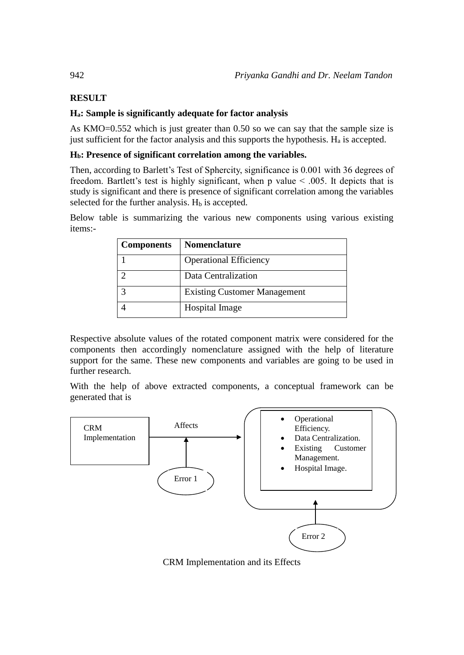# **RESULT**

### **Ha: Sample is significantly adequate for factor analysis**

As KMO=0.552 which is just greater than 0.50 so we can say that the sample size is just sufficient for the factor analysis and this supports the hypothesis.  $H_a$  is accepted.

### **Hb: Presence of significant correlation among the variables.**

Then, according to Barlett's Test of Sphercity, significance is 0.001 with 36 degrees of freedom. Bartlett's test is highly significant, when p value  $\leq$  0.005. It depicts that is study is significant and there is presence of significant correlation among the variables selected for the further analysis.  $H<sub>b</sub>$  is accepted.

Below table is summarizing the various new components using various existing items:-

| <b>Components</b> | <b>Nomenclature</b>                 |
|-------------------|-------------------------------------|
|                   | <b>Operational Efficiency</b>       |
|                   | Data Centralization                 |
|                   | <b>Existing Customer Management</b> |
|                   | <b>Hospital Image</b>               |

Respective absolute values of the rotated component matrix were considered for the components then accordingly nomenclature assigned with the help of literature support for the same. These new components and variables are going to be used in further research.

With the help of above extracted components, a conceptual framework can be generated that is



CRM Implementation and its Effects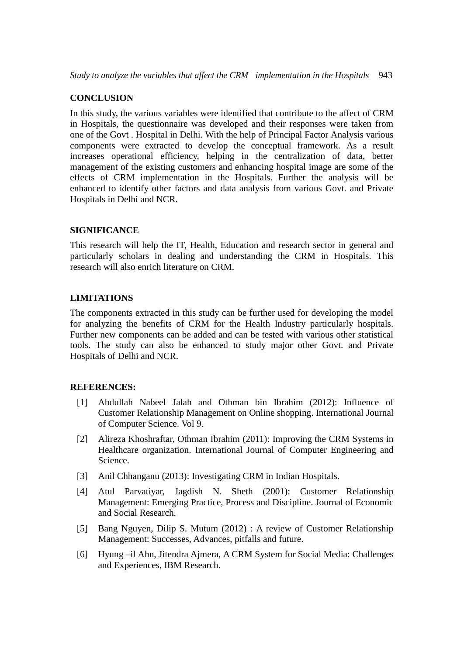#### **CONCLUSION**

In this study, the various variables were identified that contribute to the affect of CRM in Hospitals, the questionnaire was developed and their responses were taken from one of the Govt . Hospital in Delhi. With the help of Principal Factor Analysis various components were extracted to develop the conceptual framework. As a result increases operational efficiency, helping in the centralization of data, better management of the existing customers and enhancing hospital image are some of the effects of CRM implementation in the Hospitals. Further the analysis will be enhanced to identify other factors and data analysis from various Govt. and Private Hospitals in Delhi and NCR.

#### **SIGNIFICANCE**

This research will help the IT, Health, Education and research sector in general and particularly scholars in dealing and understanding the CRM in Hospitals. This research will also enrich literature on CRM.

#### **LIMITATIONS**

The components extracted in this study can be further used for developing the model for analyzing the benefits of CRM for the Health Industry particularly hospitals. Further new components can be added and can be tested with various other statistical tools. The study can also be enhanced to study major other Govt. and Private Hospitals of Delhi and NCR.

#### **REFERENCES:**

- [1] Abdullah Nabeel Jalah and Othman bin Ibrahim (2012): Influence of Customer Relationship Management on Online shopping. International Journal of Computer Science. Vol 9.
- [2] Alireza Khoshraftar, Othman Ibrahim (2011): Improving the CRM Systems in Healthcare organization. International Journal of Computer Engineering and Science.
- [3] Anil Chhanganu (2013): Investigating CRM in Indian Hospitals.
- [4] Atul Parvatiyar, Jagdish N. Sheth (2001): Customer Relationship Management: Emerging Practice, Process and Discipline. Journal of Economic and Social Research.
- [5] Bang Nguyen, Dilip S. Mutum (2012) : A review of Customer Relationship Management: Successes, Advances, pitfalls and future.
- [6] Hyung –il Ahn, Jitendra Ajmera, A CRM System for Social Media: Challenges and Experiences, IBM Research.